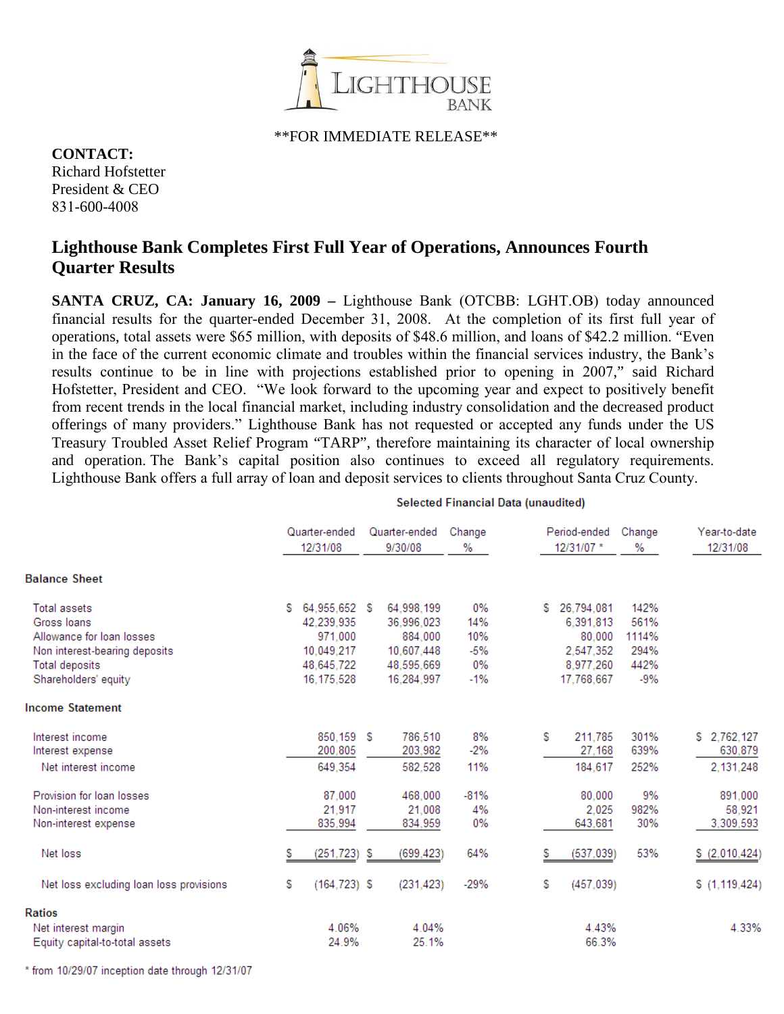

\*\*FOR IMMEDIATE RELEASE\*\*

**CONTACT:** Richard Hofstetter President & CEO 831-600-4008

## **Lighthouse Bank Completes First Full Year of Operations, Announces Fourth Quarter Results**

**SANTA CRUZ, CA: January 16, 2009 –** Lighthouse Bank (OTCBB: LGHT.OB) today announced financial results for the quarter-ended December 31, 2008. At the completion of its first full year of operations, total assets were \$65 million, with deposits of \$48.6 million, and loans of \$42.2 million. "Even in the face of the current economic climate and troubles within the financial services industry, the Bank's results continue to be in line with projections established prior to opening in 2007," said Richard Hofstetter, President and CEO. "We look forward to the upcoming year and expect to positively benefit from recent trends in the local financial market, including industry consolidation and the decreased product offerings of many providers." Lighthouse Bank has not requested or accepted any funds under the US Treasury Troubled Asset Relief Program "TARP", therefore maintaining its character of local ownership and operation. The Bank's capital position also continues to exceed all regulatory requirements. Lighthouse Bank offers a full array of loan and deposit services to clients throughout Santa Cruz County.

|                                                                                                                                            | Quarter-ended<br>12/31/08                                                             | Quarter-ended<br>9/30/08                                                      | Change<br>%                                     | Period-ended<br>12/31/07 *                                                     | Change<br>%                                    | Year-to-date<br>12/31/08            |
|--------------------------------------------------------------------------------------------------------------------------------------------|---------------------------------------------------------------------------------------|-------------------------------------------------------------------------------|-------------------------------------------------|--------------------------------------------------------------------------------|------------------------------------------------|-------------------------------------|
| <b>Balance Sheet</b>                                                                                                                       |                                                                                       |                                                                               |                                                 |                                                                                |                                                |                                     |
| <b>Total assets</b><br>Gross Ioans<br>Allowance for loan losses<br>Non interest-bearing deposits<br>Total deposits<br>Shareholders' equity | 64.955.652 \$<br>S<br>42.239.935<br>971.000<br>10.049.217<br>48.645.722<br>16.175.528 | 64.998.199<br>36.996.023<br>884.000<br>10.607.448<br>48,595,669<br>16.284.997 | $0\%$<br>14%<br>10%<br>$-5%$<br>$0\%$<br>$-1\%$ | 26.794.081<br>s<br>6.391.813<br>80.000<br>2.547.352<br>8.977.260<br>17.768.667 | 142%<br>561%<br>1114%<br>294%<br>442%<br>$-9%$ |                                     |
| <b>Income Statement</b>                                                                                                                    |                                                                                       |                                                                               |                                                 |                                                                                |                                                |                                     |
| Interest income<br>Interest expense<br>Net interest income                                                                                 | 850,159 \$<br>200,805<br>649.354                                                      | 786.510<br>203,982<br>582.528                                                 | 8%<br>$-2%$<br>11%                              | s<br>211.785<br>27,168<br>184.617                                              | 301%<br>639%<br>252%                           | \$2,762,127<br>630,879<br>2.131.248 |
| Provision for loan losses<br>Non-interest income<br>Non-interest expense                                                                   | 87.000<br>21.917<br>835,994                                                           | 468.000<br>21.008<br>834,959                                                  | $-81%$<br>4%<br>0%                              | 80.000<br>2.025<br>643,681                                                     | 9%<br>982%<br>30%                              | 891,000<br>58.921<br>3,309,593      |
| Net loss                                                                                                                                   | (251, 723)<br>s                                                                       | (699, 423)<br>-5                                                              | 64%                                             | (537, 039)<br>s                                                                | 53%                                            | \$(2,010,424)                       |
| Net loss excluding loan loss provisions                                                                                                    | S<br>$(164, 723)$ \$                                                                  | (231.423)                                                                     | $-29%$                                          | S<br>(457, 039)                                                                |                                                | \$(1, 119, 424)                     |
| <b>Ratios</b><br>Net interest margin<br>Equity capital-to-total assets                                                                     | 4.06%<br>24.9%                                                                        | 4.04%<br>25.1%                                                                |                                                 | 4.43%<br>66.3%                                                                 |                                                | 4.33%                               |

**Selected Financial Data (unaudited)** 

 $111111$  Mission Street, Santa Cruz, Ca 95060 • (831) 600-4000 •  $\frac{1}{2}$ 7-2260 • www.lighthousebank.net